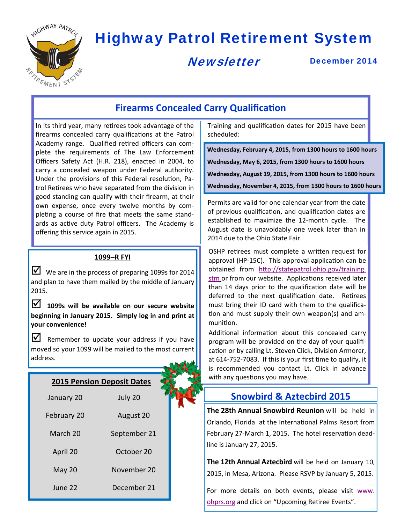

# Highway Patrol Retirement System

**Newsletter** 

December 2014

## **Firearms Concealed Carry Qualification**

In its third year, many retirees took advantage of the firearms concealed carry qualifications at the Patrol Academy range. Qualified retired officers can complete the requirements of The Law Enforcement Officers Safety Act (H.R. 218), enacted in 2004, to carry a concealed weapon under Federal authority. Under the provisions of this Federal resolution, Patrol Retirees who have separated from the division in good standing can qualify with their firearm, at their own expense, once every twelve months by completing a course of fire that meets the same standards as active duty Patrol officers. The Academy is offering this service again in 2015.

#### **1099–R FYI**

We are in the process of preparing 1099s for 2014 and plan to have them mailed by the middle of January 2015.

 **1099s will be available on our secure website beginning in January 2015. Simply log in and print at your convenience!**

 $\triangleright$  Remember to update your address if you have moved so your 1099 will be mailed to the most current address.

#### **2015 Pension Deposit Dates**

| January 20    | July 20      |  |
|---------------|--------------|--|
| February 20   | August 20    |  |
| March 20      | September 21 |  |
| April 20      | October 20   |  |
| <b>May 20</b> | November 20  |  |
| June 22       | December 21  |  |

Training and qualification dates for 2015 have been scheduled:

**Wednesday, February 4, 2015, from 1300 hours to 1600 hours Wednesday, May 6, 2015, from 1300 hours to 1600 hours** 

**Wednesday, August 19, 2015, from 1300 hours to 1600 hours** 

**Wednesday, November 4, 2015, from 1300 hours to 1600 hours** 

Permits are valid for one calendar year from the date of previous qualification, and qualification dates are established to maximize the 12-month cycle. The August date is unavoidably one week later than in 2014 due to the Ohio State Fair.

OSHP retirees must complete a written request for approval (HP-15C). This approval application can be obtained from http://statepatrol.ohio.gov/training. stm or from our website. Applications received later than 14 days prior to the qualification date will be deferred to the next qualification date. Retirees must bring their ID card with them to the qualification and must supply their own weapon(s) and ammunition.

Additional information about this concealed carry program will be provided on the day of your qualification or by calling Lt. Steven Click, Division Armorer, at 614-752-7083. If this is your first time to qualify, it is recommended you contact Lt. Click in advance with any questions you may have.

## **Snowbird & Aztecbird 2015**

**The 28th Annual Snowbird Reunion** will be held in Orlando, Florida at the International Palms Resort from February 27-March 1, 2015. The hotel reservation deadline is January 27, 2015.

**The 12th Annual Aztecbird** will be held on January 10, 2015, in Mesa, Arizona. Please RSVP by January 5, 2015.

For more details on both events, please visit www. ohprs.org and click on "Upcoming Retiree Events".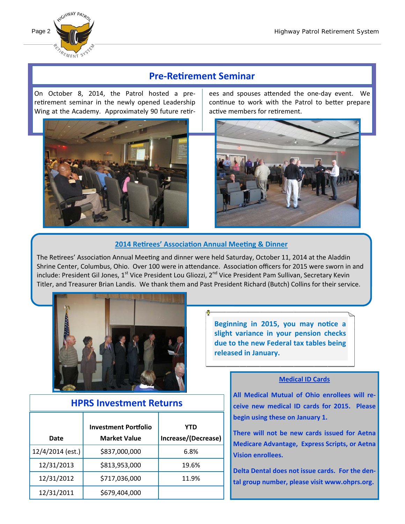

## **Pre‐ReƟrement Seminar**

On October 8, 2014, the Patrol hosted a preretirement seminar in the newly opened Leadership Wing at the Academy. Approximately 90 future retir-



ees and spouses attended the one-day event. We continue to work with the Patrol to better prepare active members for retirement.



#### **2014 ReƟrees' AssociaƟon Annual MeeƟng & Dinner**

The Retirees' Association Annual Meeting and dinner were held Saturday, October 11, 2014 at the Aladdin Shrine Center, Columbus, Ohio. Over 100 were in attendance. Association officers for 2015 were sworn in and include: President Gil Jones, 1<sup>st</sup> Vice President Lou Gliozzi, 2<sup>nd</sup> Vice President Pam Sullivan, Secretary Kevin Titler, and Treasurer Brian Landis. We thank them and Past President Richard (Butch) Collins for their service.



Beginning in 2015, you may notice a **slight variance in your pension checks due to the new Federal tax tables being released in January.** 

### **HPRS Investment Returns**

| Date             | <b>Investment Portfolio</b><br><b>Market Value</b> | YTD<br>Increase/(Decrease) |
|------------------|----------------------------------------------------|----------------------------|
| 12/4/2014 (est.) | \$837,000,000                                      | 6.8%                       |
| 12/31/2013       | \$813,953,000                                      | 19.6%                      |
| 12/31/2012       | \$717,036,000                                      | 11.9%                      |
| 12/31/2011       | \$679,404,000                                      |                            |

#### **Medical ID Cards**

**All Medical Mutual of Ohio enrollees will re‐ ceive new medical ID cards for 2015. Please begin using these on January 1.** 

**There will not be new cards issued for Aetna Medicare Advantage, Express Scripts, or Aetna Vision enrollees.** 

**Delta Dental does not issue cards. For the den‐ tal group number, please visit www.ohprs.org.**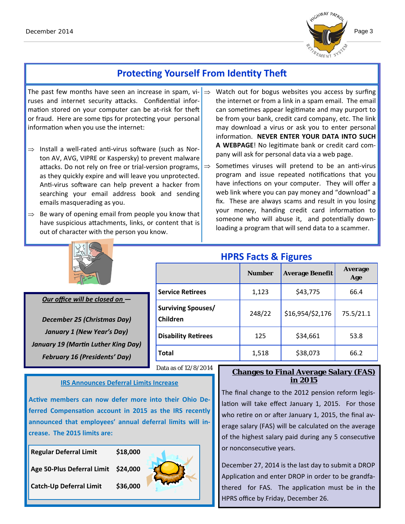

## **Protecting Yourself From Identity Theft**

The past few months have seen an increase in spam, vi- $\Rightarrow$ ruses and internet security attacks. Confidential information stored on your computer can be at-risk for theft or fraud. Here are some tips for protecting your personal information when you use the internet:

- $\Rightarrow$  Install a well-rated anti-virus software (such as Norton AV, AVG, VIPRE or Kaspersky) to prevent malware attacks. Do not rely on free or trial-version programs, as they quickly expire and will leave you unprotected. Anti-virus software can help prevent a hacker from searching your email address book and sending emails masquerading as you.
- $\Rightarrow$  Be wary of opening email from people you know that have suspicious attachments, links, or content that is out of character with the person you know.
- Watch out for bogus websites you access by surfing the internet or from a link in a spam email. The email can sometimes appear legitimate and may purport to be from your bank, credit card company, etc. The link may download a virus or ask you to enter personal informaƟon. **NEVER ENTER YOUR DATA INTO SUCH**  A WEBPAGE! No legitimate bank or credit card company will ask for personal data via a web page.
- $\Rightarrow$  Sometimes viruses will pretend to be an anti-virus program and issue repeated notifications that you have infections on your computer. They will offer a web link where you can pay money and "download" a fix. These are always scams and result in you losing your money, handing credit card information to someone who will abuse it, and potentially downloading a program that will send data to a scammer.



#### *Our office will be closed on —*

*December 25 (Christmas Day) January 1 (New Year's Day) January 19 (MarƟn Luther King Day) February 16 (Presidents' Day)*

|                                       | <b>Number</b> | <b>Average Benefit</b> | <b>Average</b><br>Age |  |
|---------------------------------------|---------------|------------------------|-----------------------|--|
| <b>Service Retirees</b>               | 1,123         | \$43,775               | 66.4                  |  |
| <b>Surviving Spouses/</b><br>Children | 248/22        | \$16,954/\$2,176       | 75.5/21.1             |  |
| <b>Disability Retirees</b>            | 125           | \$34,661               | 53.8                  |  |
| <b>Total</b>                          | 1,518         | \$38,073               | 66.2                  |  |

Data as of 12/8/2014

#### **IRS Announces Deferral Limits Increase**

Active members can now defer more into their Ohio De**ferred CompensaƟon account in 2015 as the IRS recently announced that employees' annual deferral limits will in‐ crease. The 2015 limits are:** 

| <b>Regular Deferral Limit</b>       | \$18,000 |  |
|-------------------------------------|----------|--|
| Age 50-Plus Deferral Limit \$24,000 |          |  |
| <b>Catch-Up Deferral Limit</b>      | \$36,000 |  |
|                                     |          |  |

## **Changes to Final Average Salary (FAS) in 2015**

The final change to the 2012 pension reform legislation will take effect January 1, 2015. For those who retire on or after January 1, 2015, the final average salary (FAS) will be calculated on the average of the highest salary paid during any 5 consecutive or nonconsecutive years.

December 27, 2014 is the last day to submit a DROP Application and enter DROP in order to be grandfathered for FAS. The application must be in the HPRS office by Friday, December 26.

## **HPRS Facts & Figures**